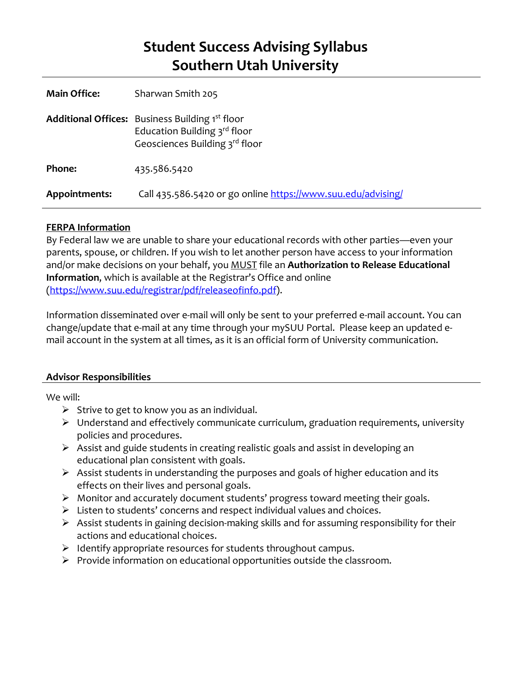# **Student Success Advising Syllabus Southern Utah University**

| <b>Main Office:</b> | Sharwan Smith 205                                                                                                        |
|---------------------|--------------------------------------------------------------------------------------------------------------------------|
|                     | <b>Additional Offices:</b> Business Building 1st floor<br>Education Building 3rd floor<br>Geosciences Building 3rd floor |
| Phone:              | 435.586.5420                                                                                                             |
| Appointments:       | Call 435.586.5420 or go online https://www.suu.edu/advising/                                                             |

## **FERPA Information**

By Federal law we are unable to share your educational records with other parties—even your parents, spouse, or children. If you wish to let another person have access to your information and/or make decisions on your behalf, you MUST file an **Authorization to Release Educational Information**, which is available at the Registrar's Office and online [\(https://www.suu.edu/registrar/pdf/releaseofinfo.pdf\)](https://www.suu.edu/registrar/pdf/releaseofinfo.pdf).

Information disseminated over e-mail will only be sent to your preferred e-mail account. You can change/update that e-mail at any time through your mySUU Portal. Please keep an updated email account in the system at all times, as it is an official form of University communication.

## **Advisor Responsibilities**

We will:

- $\triangleright$  Strive to get to know you as an individual.
- $\triangleright$  Understand and effectively communicate curriculum, graduation requirements, university policies and procedures.
- $\triangleright$  Assist and guide students in creating realistic goals and assist in developing an educational plan consistent with goals.
- Assist students in understanding the purposes and goals of higher education and its effects on their lives and personal goals.
- $\triangleright$  Monitor and accurately document students' progress toward meeting their goals.
- $\triangleright$  Listen to students' concerns and respect individual values and choices.
- $\triangleright$  Assist students in gaining decision-making skills and for assuming responsibility for their actions and educational choices.
- $\triangleright$  Identify appropriate resources for students throughout campus.
- $\triangleright$  Provide information on educational opportunities outside the classroom.